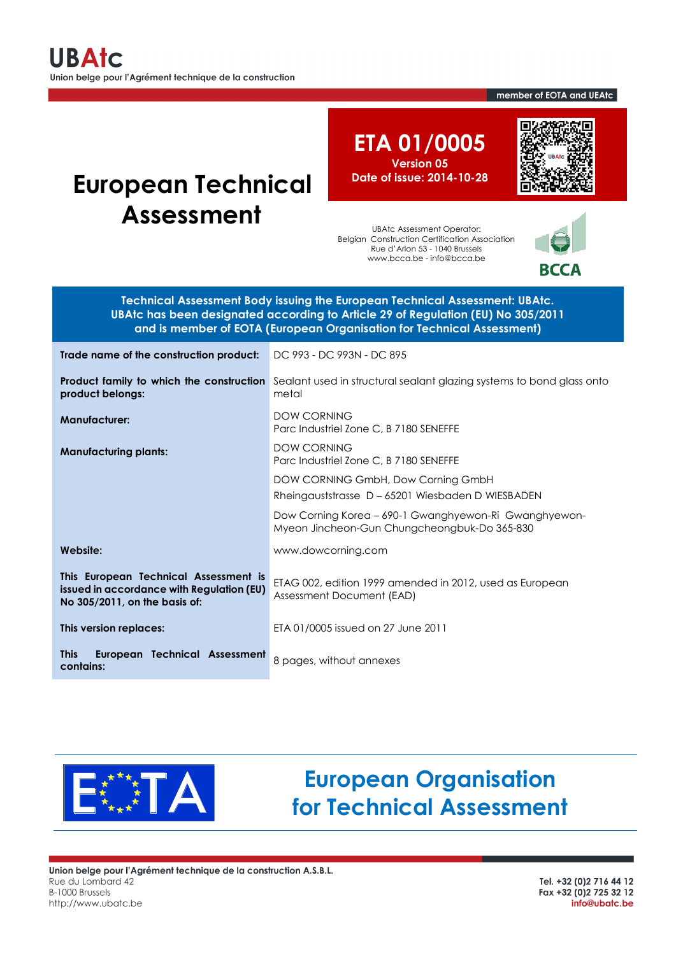#### member of EOTA and UEAtc

# **European Technical Assessment**

**ETA 01/0005 Version 05 Date of issue: 2014-10-28**

UBAtc Assessment Operator: Belgian Construction Certification Association Rue d'Arlon 53 - 1040 Brussels www.bcca.be - info@bcca.be



BCCA

**Technical Assessment Body issuing the European Technical Assessment: UBAtc. UBAtc has been designated according to Article 29 of Regulation (EU) No 305/2011 and is member of EOTA (European Organisation for Technical Assessment)**

| Trade name of the construction product:                                                                             | DC 993 - DC 993N - DC 895                                                                                               |  |
|---------------------------------------------------------------------------------------------------------------------|-------------------------------------------------------------------------------------------------------------------------|--|
| product belongs:                                                                                                    | Product family to which the construction Sealant used in structural sealant glazing systems to bond glass onto<br>metal |  |
| <b>Manufacturer:</b>                                                                                                | <b>DOW CORNING</b><br>Parc Industriel Zone C, B 7180 SENEFFE                                                            |  |
| <b>Manufacturing plants:</b>                                                                                        | <b>DOW CORNING</b><br>Parc Industriel Zone C, B 7180 SENEFFE                                                            |  |
|                                                                                                                     | DOW CORNING GmbH, Dow Corning GmbH                                                                                      |  |
|                                                                                                                     | Rheingauststrasse D-65201 Wiesbaden D WIESBADEN                                                                         |  |
|                                                                                                                     | Dow Corning Korea - 690-1 Gwanghyewon-Ri Gwanghyewon-<br>Myeon Jincheon-Gun Chungcheongbuk-Do 365-830                   |  |
| Website:                                                                                                            | www.dowcorning.com                                                                                                      |  |
| This European Technical Assessment is<br>issued in accordance with Regulation (EU)<br>No 305/2011, on the basis of: | ETAG 002, edition 1999 amended in 2012, used as European<br>Assessment Document (EAD)                                   |  |
| This version replaces:                                                                                              | ETA 01/0005 issued on 27 June 2011                                                                                      |  |
| European Technical Assessment<br><b>This</b><br>contains:                                                           | 8 pages, without annexes                                                                                                |  |



# **European Organisation for Technical Assessment**

Union belge pour l'Agrément technique de la construction A.S.B.L. Rue du Lombard 42 B-1000 Brussels http://www.ubatc.be

Tel. +32 (0)2 716 44 12 Fax +32 (0) 2 725 32 12 info@ubatc.be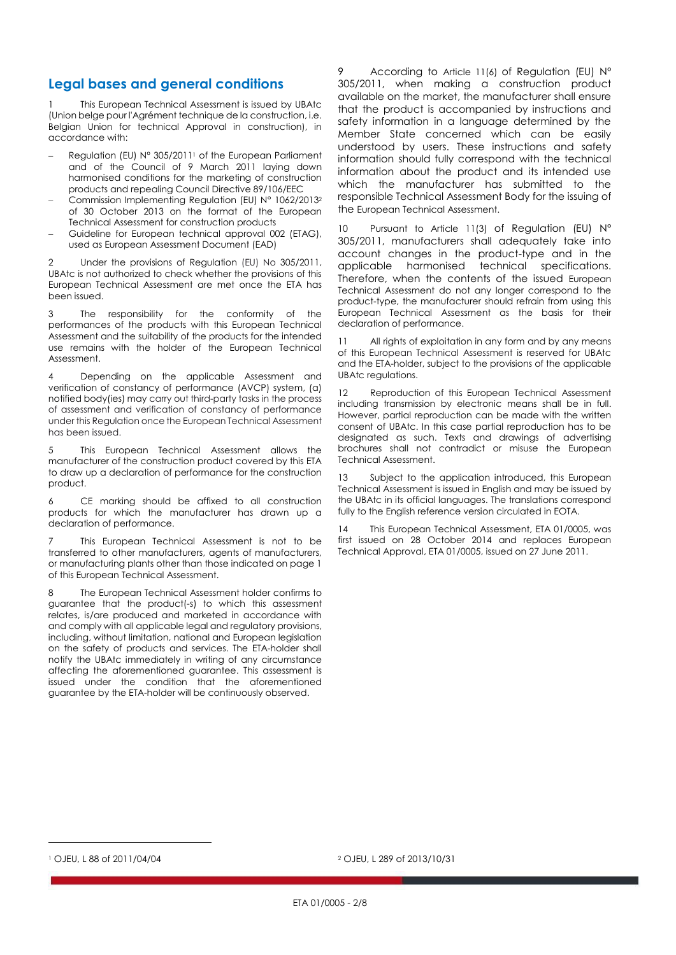# **Legal bases and general conditions**

This European Technical Assessment is issued by UBAtc (Union belge pour l'Agrément technique de la construction, i.e. Belgian Union for technical Approval in construction), in accordance with:

- Regulation (EU) N° 305/2011<sup>1</sup> of the European Parliament and of the Council of 9 March 2011 laying down harmonised conditions for the marketing of construction products and repealing Council Directive 89/106/EEC
- Commission Implementing Regulation (EU) N° 1062/2013<sup>2</sup> of 30 October 2013 on the format of the European Technical Assessment for construction products
- Guideline for European technical approval 002 (ETAG), used as European Assessment Document (EAD)

2 Under the provisions of Regulation (EU) No 305/2011, UBAtc is not authorized to check whether the provisions of this European Technical Assessment are met once the ETA has been issued.

3 The responsibility for the conformity of the performances of the products with this European Technical Assessment and the suitability of the products for the intended use remains with the holder of the European Technical Assessment.

4 Depending on the applicable Assessment and verification of constancy of performance (AVCP) system, (a) notified body(ies) may carry out third-party tasks in the process of assessment and verification of constancy of performance under this Regulation once the European Technical Assessment has been issued.

5 This European Technical Assessment allows the manufacturer of the construction product covered by this ETA to draw up a declaration of performance for the construction product.

6 CE marking should be affixed to all construction products for which the manufacturer has drawn up a declaration of performance.

7 This European Technical Assessment is not to be transferred to other manufacturers, agents of manufacturers, or manufacturing plants other than those indicated on page 1 of this European Technical Assessment.

8 The European Technical Assessment holder confirms to guarantee that the product(-s) to which this assessment relates, is/are produced and marketed in accordance with and comply with all applicable legal and regulatory provisions, including, without limitation, national and European legislation on the safety of products and services. The ETA-holder shall notify the UBAtc immediately in writing of any circumstance affecting the aforementioned guarantee. This assessment is issued under the condition that the aforementioned guarantee by the ETA-holder will be continuously observed.

9 According to Article 11(6) of Regulation (EU) N° 305/2011, when making a construction product available on the market, the manufacturer shall ensure that the product is accompanied by instructions and safety information in a language determined by the Member State concerned which can be easily understood by users. These instructions and safety information should fully correspond with the technical information about the product and its intended use which the manufacturer has submitted to the responsible Technical Assessment Body for the issuing of the European Technical Assessment.

Pursuant to Article 11(3) of Regulation (EU) N° 305/2011, manufacturers shall adequately take into account changes in the product-type and in the applicable harmonised technical specifications. Therefore, when the contents of the issued European Technical Assessment do not any longer correspond to the product-type, the manufacturer should refrain from using this European Technical Assessment as the basis for their declaration of performance.

11 All rights of exploitation in any form and by any means of this European Technical Assessment is reserved for UBAtc and the ETA-holder, subject to the provisions of the applicable UBAtc regulations.

12 Reproduction of this European Technical Assessment including transmission by electronic means shall be in full. However, partial reproduction can be made with the written consent of UBAtc. In this case partial reproduction has to be designated as such. Texts and drawings of advertising brochures shall not contradict or misuse the European Technical Assessment.

13 Subject to the application introduced, this European Technical Assessment is issued in English and may be issued by the UBAtc in its official languages. The translations correspond fully to the English reference version circulated in EOTA.

14 This European Technical Assessment, ETA 01/0005, was first issued on 28 October 2014 and replaces European Technical Approval, ETA 01/0005, issued on 27 June 2011.

 $\overline{a}$ 

<sup>1</sup> OJEU, L 88 of 2011/04/04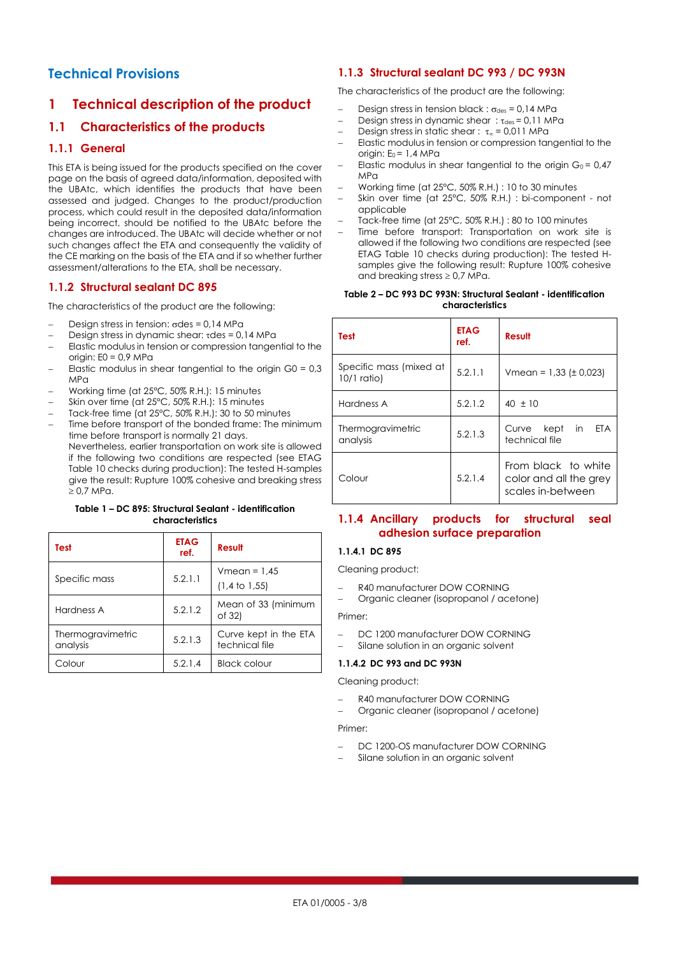# **Technical Provisions**

# **1 Technical description of the product**

# **1.1 Characteristics of the products**

## **1.1.1 General**

This ETA is being issued for the products specified on the cover page on the basis of agreed data/information, deposited with the UBAtc, which identifies the products that have been assessed and judged. Changes to the product/production process, which could result in the deposited data/information being incorrect, should be notified to the UBAtc before the changes are introduced. The UBAtc will decide whether or not such changes affect the ETA and consequently the validity of the CE marking on the basis of the ETA and if so whether further assessment/alterations to the ETA, shall be necessary.

## **1.1.2 Structural sealant DC 895**

The characteristics of the product are the following:

- Design stress in tension:  $\sigma$ des = 0,14 MPa
- Design stress in dynamic shear:  $\tau$ des = 0,14 MPa
- Elastic modulus in tension or compression tangential to the origin:  $E0 = 0.9$  MPa
- Elastic modulus in shear tangential to the origin  $G0 = 0.3$  $MP<sub>0</sub>$
- Working time (at 25°C, 50% R.H.): 15 minutes
- Skin over time (at 25°C, 50% R.H.): 15 minutes
- Tack-free time (at 25°C, 50% R.H.): 30 to 50 minutes
- Time before transport of the bonded frame: The minimum time before transport is normally 21 days. Nevertheless, earlier transportation on work site is allowed if the following two conditions are respected (see ETAG Table 10 checks during production): The tested H-samples give the result: Rupture 100% cohesive and breaking stress  $\geq 0.7$  MPa.

#### **Table 1 – DC 895: Structural Sealant - identification characteristics**

| Test                          | <b>ETAG</b><br>ref. | Result                                     |
|-------------------------------|---------------------|--------------------------------------------|
| Specific mass                 | 5.2.1.1             | $Vmean = 1.45$<br>$(1,4 \text{ to } 1,55)$ |
| Hardness A                    | 5.2.1.2             | Mean of 33 (minimum<br>of 32)              |
| Thermogravimetric<br>analysis | 5.2.1.3             | Curve kept in the ETA<br>technical file    |
| Colour                        | 5.2.1.4             | <b>Black colour</b>                        |

## **1.1.3 Structural sealant DC 993 / DC 993N**

The characteristics of the product are the following:

- Design stress in tension black :  $\sigma_{des} = 0.14$  MPa
- Design stress in dynamic shear:  $\tau_{des} = 0.11$  MPa
- Design stress in static shear :  $\tau_{\infty}$  = 0,011 MPa
- Elastic modulus in tension or compression tangential to the origin:  $E_0 = 1.4$  MPa
- Elastic modulus in shear tangential to the origin  $G_0 = 0.47$  $MP<sub>0</sub>$
- Working time (at 25°C, 50% R.H.) : 10 to 30 minutes
- Skin over time (at 25°C, 50% R.H.) : bi-component not applicable
- Tack-free time (at 25°C, 50% R.H.) : 80 to 100 minutes
- Time before transport: Transportation on work site is allowed if the following two conditions are respected (see ETAG Table 10 checks during production): The tested Hsamples give the following result: Rupture 100% cohesive and breaking stress  $\geq 0.7$  MPa.

#### **Table 2 – DC 993 DC 993N: Structural Sealant - identification characteristics**

| Test                                     | <b>ETAG</b><br>ref. | Result                                                             |  |
|------------------------------------------|---------------------|--------------------------------------------------------------------|--|
| Specific mass (mixed at<br>$10/1$ ratio) | 5.2.1.1             | Vmean = $1,33$ ( $\pm$ 0,023)                                      |  |
| Hardness A                               | 5.2.1.2             | $40 \pm 10$                                                        |  |
| Thermogravimetric<br>analysis            | 5.2.1.3             | Curve kept in<br><b>FTA</b><br>technical file                      |  |
| Colour                                   | 5.2.1.4             | From black to white<br>color and all the grey<br>scales in-between |  |

## **1.1.4 Ancillary products for structural seal adhesion surface preparation**

#### **1.1.4.1 DC 895**

Cleaning product:

- R40 manufacturer DOW CORNING
- Organic cleaner (isopropanol / acetone)

Primer:

- DC 1200 manufacturer DOW CORNING
- Silane solution in an organic solvent

#### **1.1.4.2 DC 993 and DC 993N**

Cleaning product:

- R40 manufacturer DOW CORNING
- Organic cleaner (isopropanol / acetone)

#### Primer:

- DC 1200-OS manufacturer DOW CORNING
- Silane solution in an organic solvent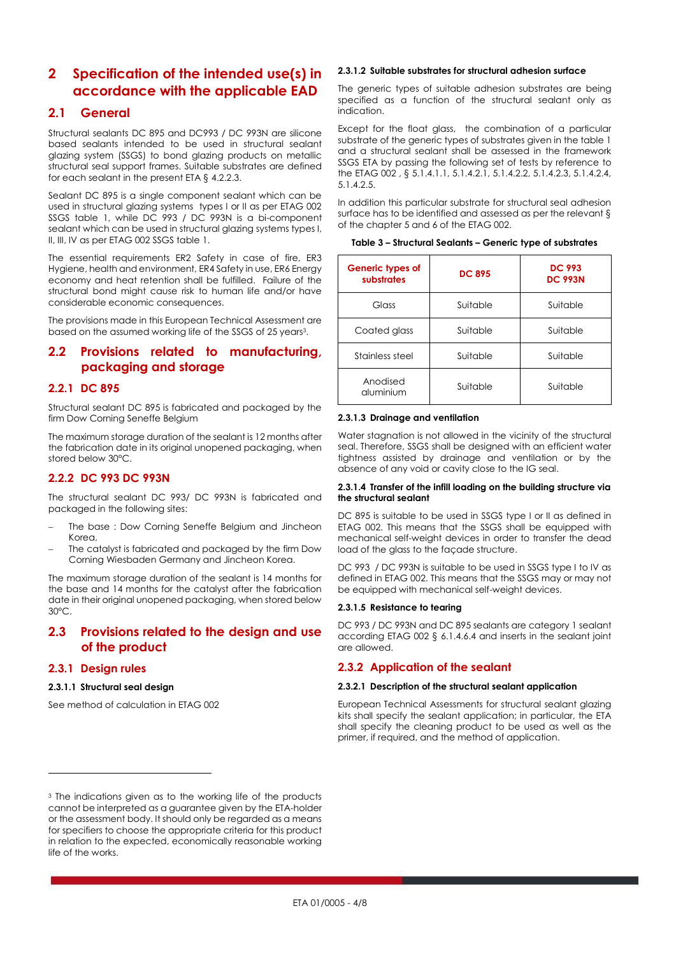# **2 Specification of the intended use(s) in accordance with the applicable EAD**

## **2.1 General**

Structural sealants DC 895 and DC993 / DC 993N are silicone based sealants intended to be used in structural sealant glazing system (SSGS) to bond glazing products on metallic structural seal support frames. Suitable substrates are defined for each sealant in the present ETA § 4.2.2.3.

Sealant DC 895 is a single component sealant which can be used in structural glazing systems types I or II as per ETAG 002 SSGS table 1, while DC 993 / DC 993N is a bi-component sealant which can be used in structural glazing systems types I, II, III, IV as per ETAG 002 SSGS table 1.

The essential requirements ER2 Safety in case of fire, ER3 Hygiene, health and environment, ER4 Safety in use, ER6 Energy economy and heat retention shall be fulfilled. Failure of the structural bond might cause risk to human life and/or have considerable economic consequences.

The provisions made in this European Technical Assessment are based on the assumed working life of the SSGS of 25 years3.

## **2.2 Provisions related to manufacturing, packaging and storage**

### **2.2.1 DC 895**

Structural sealant DC 895 is fabricated and packaged by the firm Dow Corning Seneffe Belgium

The maximum storage duration of the sealant is 12 months after the fabrication date in its original unopened packaging, when stored below 30°C.

## **2.2.2 DC 993 DC 993N**

The structural sealant DC 993/ DC 993N is fabricated and packaged in the following sites:

- The base : Dow Corning Seneffe Belgium and Jincheon Korea,
- The catalyst is fabricated and packaged by the firm Dow Corning Wiesbaden Germany and Jincheon Korea.

The maximum storage duration of the sealant is 14 months for the base and 14 months for the catalyst after the fabrication date in their original unopened packaging, when stored below 30°C.

## **2.3 Provisions related to the design and use of the product**

#### **2.3.1 Design rules**

 $\overline{a}$ 

#### **2.3.1.1 Structural seal design**

See method of calculation in ETAG 002

#### **2.3.1.2 Suitable substrates for structural adhesion surface**

The generic types of suitable adhesion substrates are being specified as a function of the structural sealant only as indication.

Except for the float glass, the combination of a particular substrate of the generic types of substrates given in the table 1 and a structural sealant shall be assessed in the framework SSGS ETA by passing the following set of tests by reference to the ETAG 002 , § 5.1.4.1.1, 5.1.4.2.1, 5.1.4.2.2, 5.1.4.2.3, 5.1.4.2.4, 5.1.4.2.5.

In addition this particular substrate for structural seal adhesion surface has to be identified and assessed as per the relevant § of the chapter 5 and 6 of the ETAG 002.

|  |  |  | Table 3 – Structural Sealants – Generic type of substrates |
|--|--|--|------------------------------------------------------------|
|  |  |  |                                                            |

| Generic types of<br>substrates | <b>DC 895</b> | <b>DC 993</b><br><b>DC 993N</b> |
|--------------------------------|---------------|---------------------------------|
| Glass                          | Suitable      | Suitable                        |
| Coated glass                   | Suitable      | Suitable                        |
| Stainless steel                | Suitable      | Suitable                        |
| Anodised<br>aluminium          | Suitable      | Suitable                        |

#### **2.3.1.3 Drainage and ventilation**

Water stagnation is not allowed in the vicinity of the structural seal. Therefore, SSGS shall be designed with an efficient water tightness assisted by drainage and ventilation or by the absence of any void or cavity close to the IG seal.

#### **2.3.1.4 Transfer of the infill loading on the building structure via the structural sealant**

DC 895 is suitable to be used in SSGS type I or II as defined in ETAG 002. This means that the SSGS shall be equipped with mechanical self-weight devices in order to transfer the dead load of the glass to the façade structure.

DC 993 / DC 993N is suitable to be used in SSGS type I to IV as defined in ETAG 002. This means that the SSGS may or may not be equipped with mechanical self-weight devices.

#### **2.3.1.5 Resistance to tearing**

DC 993 / DC 993N and DC 895 sealants are category 1 sealant according ETAG 002 § 6.1.4.6.4 and inserts in the sealant joint are allowed.

## **2.3.2 Application of the sealant**

#### **2.3.2.1 Description of the structural sealant application**

European Technical Assessments for structural sealant glazing kits shall specify the sealant application; in particular, the ETA shall specify the cleaning product to be used as well as the primer, if required, and the method of application.

<sup>&</sup>lt;sup>3</sup> The indications given as to the working life of the products cannot be interpreted as a guarantee given by the ETA-holder or the assessment body. It should only be regarded as a means for specifiers to choose the appropriate criteria for this product in relation to the expected, economically reasonable working life of the works.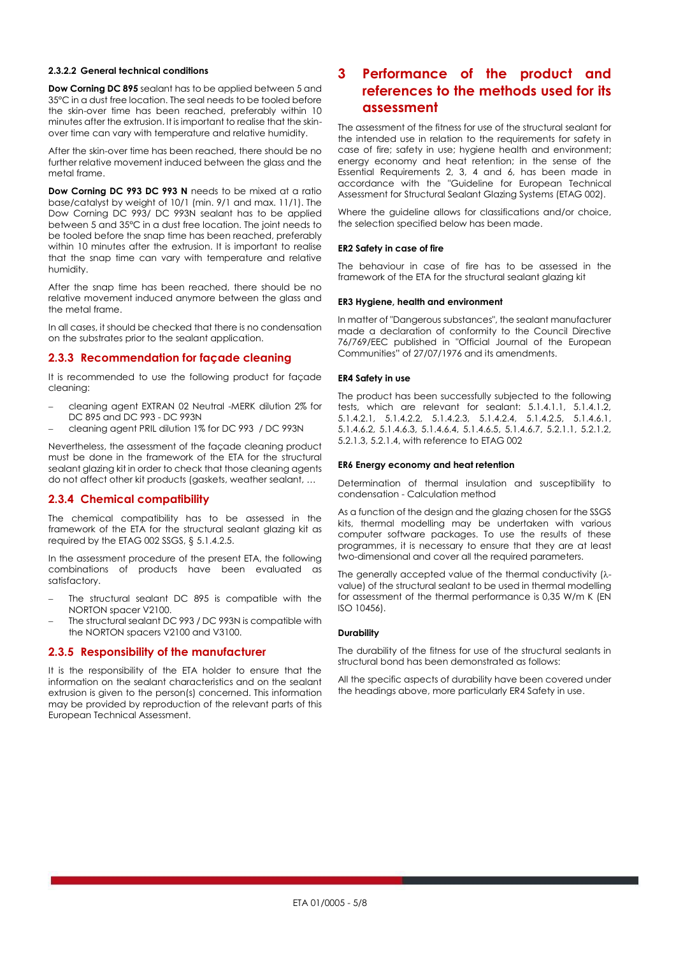#### **2.3.2.2 General technical conditions**

**Dow Corning DC 895** sealant has to be applied between 5 and 35°C in a dust free location. The seal needs to be tooled before the skin-over time has been reached, preferably within 10 minutes after the extrusion. It is important to realise that the skinover time can vary with temperature and relative humidity.

After the skin-over time has been reached, there should be no further relative movement induced between the glass and the metal frame.

**Dow Corning DC 993 DC 993 N** needs to be mixed at a ratio base/catalyst by weight of 10/1 (min. 9/1 and max. 11/1). The Dow Corning DC 993/ DC 993N sealant has to be applied between 5 and 35°C in a dust free location. The joint needs to be tooled before the snap time has been reached, preferably within 10 minutes after the extrusion. It is important to realise that the snap time can vary with temperature and relative humidity.

After the snap time has been reached, there should be no relative movement induced anymore between the glass and the metal frame.

In all cases, it should be checked that there is no condensation on the substrates prior to the sealant application.

#### **2.3.3 Recommendation for façade cleaning**

It is recommended to use the following product for façade cleaning:

- cleaning agent EXTRAN 02 Neutral -MERK dilution 2% for DC 895 and DC 993 - DC 993N
- cleaning agent PRIL dilution 1% for DC 993 / DC 993N

Nevertheless, the assessment of the façade cleaning product must be done in the framework of the ETA for the structural sealant glazing kit in order to check that those cleaning agents do not affect other kit products (gaskets, weather sealant, …

## **2.3.4 Chemical compatibility**

The chemical compatibility has to be assessed in the framework of the ETA for the structural sealant glazing kit as required by the ETAG 002 SSGS, § 5.1.4.2.5.

In the assessment procedure of the present ETA, the following combinations of products have been evaluated as satisfactory.

- The structural sealant DC 895 is compatible with the NORTON spacer V2100.
- The structural sealant DC 993 / DC 993N is compatible with the NORTON spacers V2100 and V3100.

#### **2.3.5 Responsibility of the manufacturer**

It is the responsibility of the ETA holder to ensure that the information on the sealant characteristics and on the sealant extrusion is given to the person(s) concerned. This information may be provided by reproduction of the relevant parts of this European Technical Assessment.

# **3 Performance of the product and references to the methods used for its assessment**

The assessment of the fitness for use of the structural sealant for the intended use in relation to the requirements for safety in case of fire; safety in use; hygiene health and environment; energy economy and heat retention; in the sense of the Essential Requirements 2, 3, 4 and 6, has been made in accordance with the "Guideline for European Technical Assessment for Structural Sealant Glazing Systems (ETAG 002).

Where the guideline allows for classifications and/or choice, the selection specified below has been made.

#### **ER2 Safety in case of fire**

The behaviour in case of fire has to be assessed in the framework of the ETA for the structural sealant glazing kit

#### **ER3 Hygiene, health and environment**

In matter of "Dangerous substances", the sealant manufacturer made a declaration of conformity to the Council Directive 76/769/EEC published in "Official Journal of the European Communities" of 27/07/1976 and its amendments.

#### **ER4 Safety in use**

The product has been successfully subjected to the following tests, which are relevant for sealant: 5.1.4.1.1, 5.1.4.1.2, 5.1.4.2.1, 5.1.4.2.2, 5.1.4.2.3, 5.1.4.2.4, 5.1.4.2.5, 5.1.4.6.1, 5.1.4.6.2, 5.1.4.6.3, 5.1.4.6.4, 5.1.4.6.5, 5.1.4.6.7, 5.2.1.1, 5.2.1.2, 5.2.1.3, 5.2.1.4, with reference to ETAG 002

#### **ER6 Energy economy and heat retention**

Determination of thermal insulation and susceptibility to condensation - Calculation method

As a function of the design and the glazing chosen for the SSGS kits, thermal modelling may be undertaken with various computer software packages. To use the results of these programmes, it is necessary to ensure that they are at least two-dimensional and cover all the required parameters.

The generally accepted value of the thermal conductivity  $(\lambda$ value) of the structural sealant to be used in thermal modelling for assessment of the thermal performance is 0,35 W/m K (EN ISO 10456).

#### **Durability**

The durability of the fitness for use of the structural sealants in structural bond has been demonstrated as follows:

All the specific aspects of durability have been covered under the headings above, more particularly ER4 Safety in use.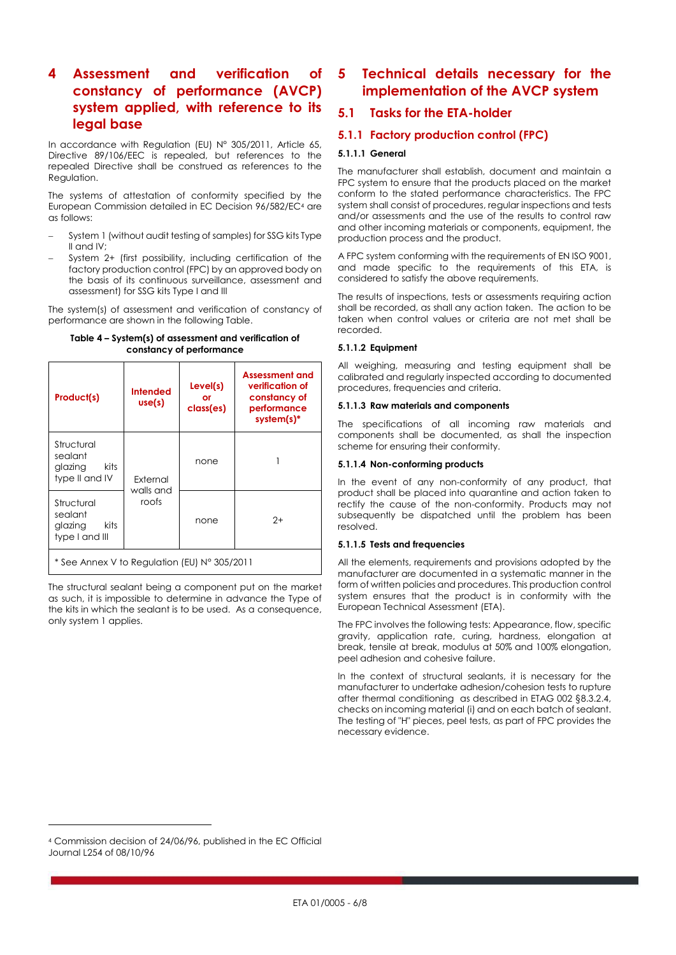# **4 Assessment and verification of constancy of performance (AVCP) system applied, with reference to its legal base**

In accordance with Regulation (EU) N° 305/2011, Article 65, Directive 89/106/EEC is repealed, but references to the repealed Directive shall be construed as references to the Regulation.

The systems of attestation of conformity specified by the European Commission detailed in EC Decision 96/582/EC<sup>4</sup> are as follows:

- System 1 (without audit testing of samples) for SSG kits Type II and IV;
- System 2+ (first possibility, including certification of the factory production control (FPC) by an approved body on the basis of its continuous surveillance, assessment and assessment) for SSG kits Type I and III

The system(s) of assessment and verification of constancy of performance are shown in the following Table.

| Table 4 – System(s) of assessment and verification of |
|-------------------------------------------------------|
| constancy of performance                              |

| Product(s)                                                  | <b>Intended</b><br>use(s) | Level(s)<br>or<br>class(es) | <b>Assessment and</b><br>verification of<br>constancy of<br>performance<br>$system(s)*$ |  |
|-------------------------------------------------------------|---------------------------|-----------------------------|-----------------------------------------------------------------------------------------|--|
| Structural<br>sealant<br>glazing<br>kits<br>type II and IV  | External                  | none                        |                                                                                         |  |
| Structural<br>sealant<br>kits.<br>glazing<br>type I and III | walls and<br>roofs        | none                        | $2+$                                                                                    |  |
| * See Annex V to Regulation (EU) N° 305/2011                |                           |                             |                                                                                         |  |

The structural sealant being a component put on the market as such, it is impossible to determine in advance the Type of the kits in which the sealant is to be used. As a consequence, only system 1 applies.

# **5 Technical details necessary for the implementation of the AVCP system**

# **5.1 Tasks for the ETA-holder**

## <span id="page-5-0"></span>**5.1.1 Factory production control (FPC)**

#### **5.1.1.1 General**

The manufacturer shall establish, document and maintain a FPC system to ensure that the products placed on the market conform to the stated performance characteristics. The FPC system shall consist of procedures, regular inspections and tests and/or assessments and the use of the results to control raw and other incoming materials or components, equipment, the production process and the product.

A FPC system conforming with the requirements of EN ISO 9001, and made specific to the requirements of this ETA, is considered to satisfy the above requirements.

The results of inspections, tests or assessments requiring action shall be recorded, as shall any action taken. The action to be taken when control values or criteria are not met shall be recorded.

#### **5.1.1.2 Equipment**

All weighing, measuring and testing equipment shall be calibrated and regularly inspected according to documented procedures, frequencies and criteria.

#### **5.1.1.3 Raw materials and components**

The specifications of all incoming raw materials and components shall be documented, as shall the inspection scheme for ensuring their conformity.

#### **5.1.1.4 Non-conforming products**

In the event of any non-conformity of any product, that product shall be placed into quarantine and action taken to rectify the cause of the non-conformity. Products may not subsequently be dispatched until the problem has been resolved.

#### **5.1.1.5 Tests and frequencies**

All the elements, requirements and provisions adopted by the manufacturer are documented in a systematic manner in the form of written policies and procedures. This production control system ensures that the product is in conformity with the European Technical Assessment (ETA).

The FPC involves the following tests: Appearance, flow, specific gravity, application rate, curing, hardness, elongation at break, tensile at break, modulus at 50% and 100% elongation, peel adhesion and cohesive failure.

In the context of structural sealants, it is necessary for the manufacturer to undertake adhesion/cohesion tests to rupture after thermal conditioning as described in ETAG 002 §8.3.2.4, checks on incoming material (i) and on each batch of sealant. The testing of "H" pieces, peel tests, as part of FPC provides the necessary evidence.

 $\overline{a}$ 

<sup>4</sup> Commission decision of 24/06/96, published in the EC Official Journal L254 of 08/10/96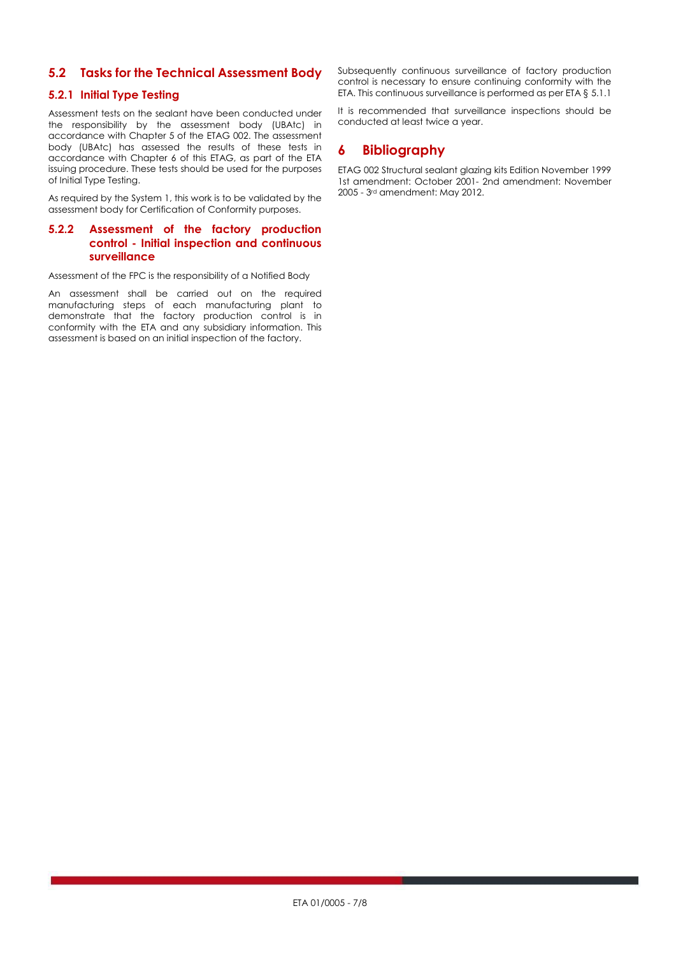## **5.2 Tasks for the Technical Assessment Body**

### **5.2.1 Initial Type Testing**

Assessment tests on the sealant have been conducted under the responsibility by the assessment body (UBAtc) in accordance with Chapter 5 of the ETAG 002. The assessment body (UBAtc) has assessed the results of these tests in accordance with Chapter 6 of this ETAG, as part of the ETA issuing procedure. These tests should be used for the purposes of Initial Type Testing.

As required by the System 1, this work is to be validated by the assessment body for Certification of Conformity purposes.

## **5.2.2 Assessment of the factory production control - Initial inspection and continuous surveillance**

Assessment of the FPC is the responsibility of a Notified Body

An assessment shall be carried out on the required manufacturing steps of each manufacturing plant to demonstrate that the factory production control is in conformity with the ETA and any subsidiary information. This assessment is based on an initial inspection of the factory.

Subsequently continuous surveillance of factory production control is necessary to ensure continuing conformity with the ETA. This continuous surveillance is performed as per ETA § [5.1.1](#page-5-0)

It is recommended that surveillance inspections should be conducted at least twice a year.

## **6 Bibliography**

ETAG 002 Structural sealant glazing kits Edition November 1999 1st amendment: October 2001- 2nd amendment: November 2005 - 3rd amendment: May 2012.